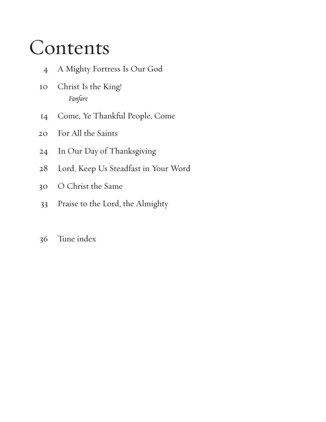## Contents

- 4 A Mighty Fortress Is Our God
- 10 Christ Is the King! *Fanfare*
- 14 Come, Ye Thankful People, Come
- 20 For All the Saints
- 24 In Our Day of Thanksgiving
- 28 Lord, Keep Us Steadfast in Your Word
- 30 O Christ the Same
- 33 Praise to the Lord, the Almighty
- 36 Tune index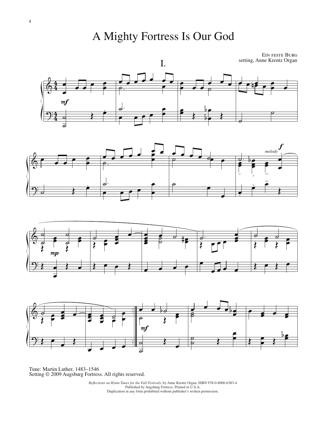A Mighty Fortress Is Our God

Ein feste Burg setting, Anne Krentz Organ









Tune: Martin Luther, 1483–1546 Setting © 2009 Augsburg Fortress. All rights reserved.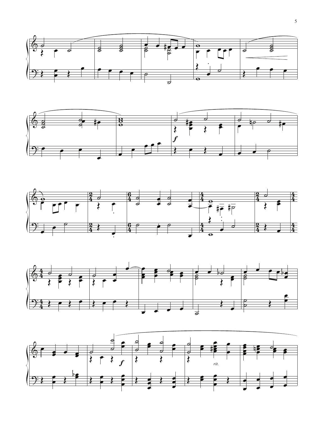







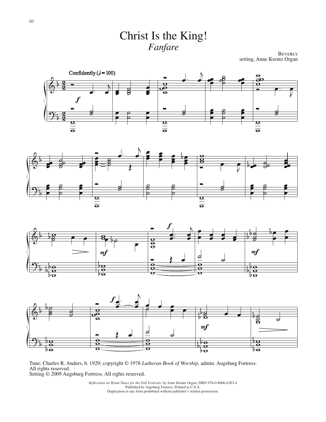

setting, Anne Krentz Organ









Tune: Charles R. Anders, b. 1929; copyright © 1978 *Lutheran Book of Worship*, admin. Augsburg Fortress. All rights reserved. Setting © 2009 Augsburg Fortress. All rights reserved.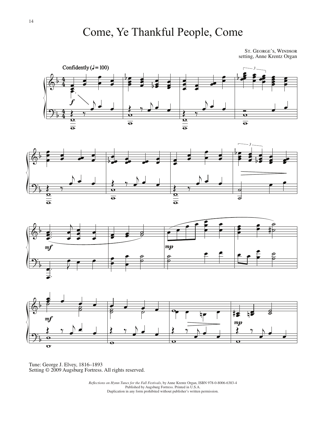Come, Ye Thankful People, Come

St. George's, Windsor setting, Anne Krentz Organ









Tune: George J. Elvey, 1816–1893 Setting © 2009 Augsburg Fortress. All rights reserved.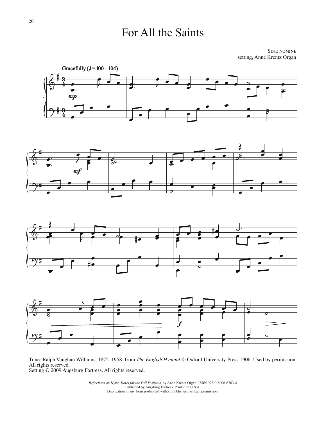### For All the Saints

Sine nomine setting, Anne Krentz Organ









Tune: Ralph Vaughan Williams, 1872–1958; from *The English Hymnal* © Oxford University Press 1906. Used by permission. All rights reserved.

Setting © 2009 Augsburg Fortress. All rights reserved.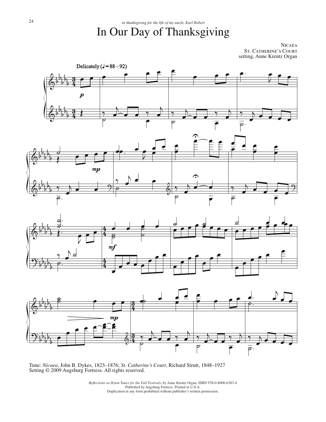### In Our Day of Thanksgiving

**NICAEA** St. Catherine's Court setting, Anne Krentz Organ









Tune: *Nicaea*, John B. Dykes, 1823–1876; *St. Catherine's Court*, Richard Strutt, 1848–1927 Setting © 2009 Augsburg Fortress. All rights reserved.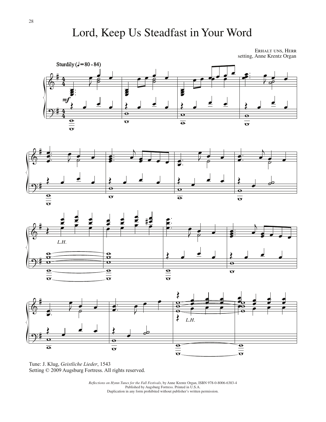Lord, Keep Us Steadfast in Your Word

Erhalt uns, Herr setting, Anne Krentz Organ





Tune: J. Klug, *Geistliche Lieder*, 1543 Setting © 2009 Augsburg Fortress. All rights reserved.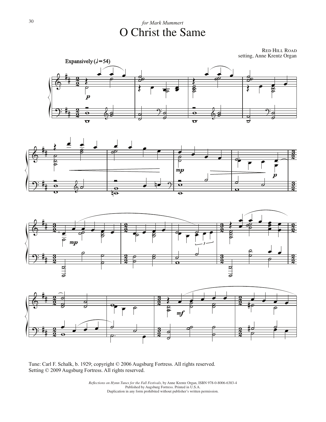#### *for Mark Mummert* O Christ the Same

Red Hill Road setting, Anne Krentz Organ









Tune: Carl F. Schalk, b. 1929; copyright © 2006 Augsburg Fortress. All rights reserved. Setting © 2009 Augsburg Fortress. All rights reserved.